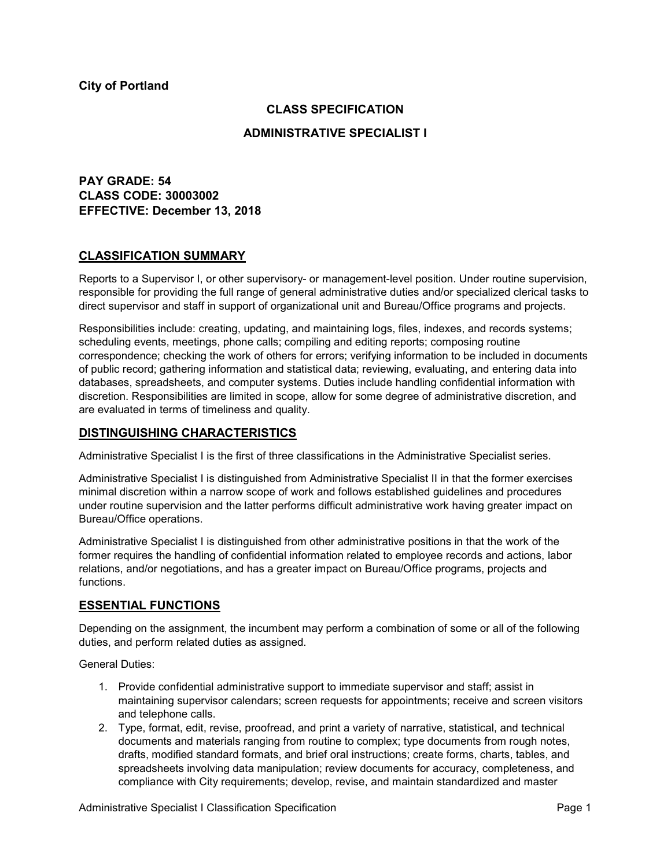## **CLASS SPECIFICATION**

### **ADMINISTRATIVE SPECIALIST I**

**PAY GRADE: 54 CLASS CODE: 30003002 EFFECTIVE: December 13, 2018**

### **CLASSIFICATION SUMMARY**

Reports to a Supervisor I, or other supervisory- or management-level position. Under routine supervision, responsible for providing the full range of general administrative duties and/or specialized clerical tasks to direct supervisor and staff in support of organizational unit and Bureau/Office programs and projects.

Responsibilities include: creating, updating, and maintaining logs, files, indexes, and records systems; scheduling events, meetings, phone calls; compiling and editing reports; composing routine correspondence; checking the work of others for errors; verifying information to be included in documents of public record; gathering information and statistical data; reviewing, evaluating, and entering data into databases, spreadsheets, and computer systems. Duties include handling confidential information with discretion. Responsibilities are limited in scope, allow for some degree of administrative discretion, and are evaluated in terms of timeliness and quality.

## **DISTINGUISHING CHARACTERISTICS**

Administrative Specialist I is the first of three classifications in the Administrative Specialist series.

Administrative Specialist I is distinguished from Administrative Specialist II in that the former exercises minimal discretion within a narrow scope of work and follows established guidelines and procedures under routine supervision and the latter performs difficult administrative work having greater impact on Bureau/Office operations.

Administrative Specialist I is distinguished from other administrative positions in that the work of the former requires the handling of confidential information related to employee records and actions, labor relations, and/or negotiations, and has a greater impact on Bureau/Office programs, projects and functions.

# **ESSENTIAL FUNCTIONS**

Depending on the assignment, the incumbent may perform a combination of some or all of the following duties, and perform related duties as assigned.

General Duties:

- 1. Provide confidential administrative support to immediate supervisor and staff; assist in maintaining supervisor calendars; screen requests for appointments; receive and screen visitors and telephone calls.
- 2. Type, format, edit, revise, proofread, and print a variety of narrative, statistical, and technical documents and materials ranging from routine to complex; type documents from rough notes, drafts, modified standard formats, and brief oral instructions; create forms, charts, tables, and spreadsheets involving data manipulation; review documents for accuracy, completeness, and compliance with City requirements; develop, revise, and maintain standardized and master

Administrative Specialist I Classification Specification **Page 1** and Page 1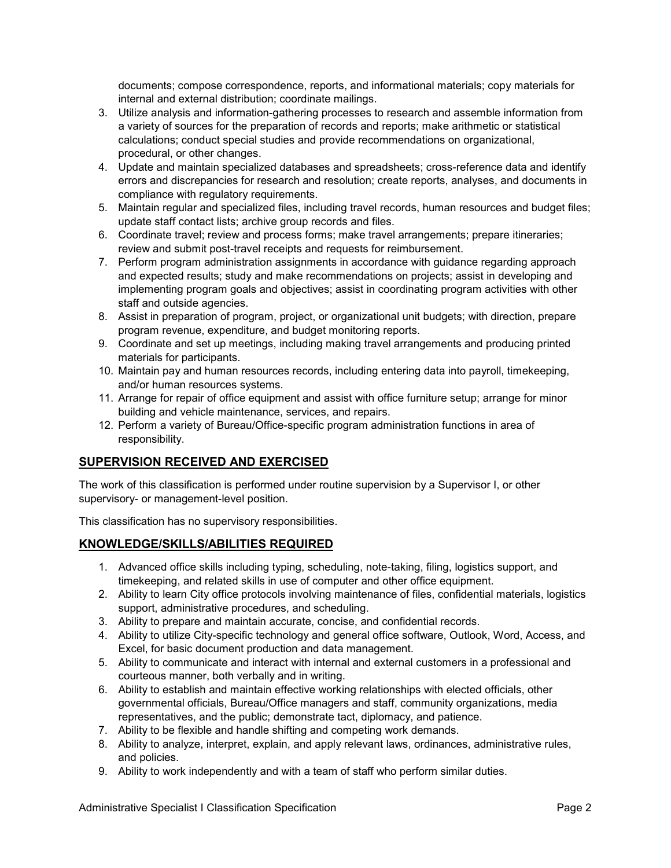documents; compose correspondence, reports, and informational materials; copy materials for internal and external distribution; coordinate mailings.

- 3. Utilize analysis and information-gathering processes to research and assemble information from a variety of sources for the preparation of records and reports; make arithmetic or statistical calculations; conduct special studies and provide recommendations on organizational, procedural, or other changes.
- 4. Update and maintain specialized databases and spreadsheets; cross-reference data and identify errors and discrepancies for research and resolution; create reports, analyses, and documents in compliance with regulatory requirements.
- 5. Maintain regular and specialized files, including travel records, human resources and budget files; update staff contact lists; archive group records and files.
- 6. Coordinate travel; review and process forms; make travel arrangements; prepare itineraries; review and submit post-travel receipts and requests for reimbursement.
- 7. Perform program administration assignments in accordance with guidance regarding approach and expected results; study and make recommendations on projects; assist in developing and implementing program goals and objectives; assist in coordinating program activities with other staff and outside agencies.
- 8. Assist in preparation of program, project, or organizational unit budgets; with direction, prepare program revenue, expenditure, and budget monitoring reports.
- 9. Coordinate and set up meetings, including making travel arrangements and producing printed materials for participants.
- 10. Maintain pay and human resources records, including entering data into payroll, timekeeping, and/or human resources systems.
- 11. Arrange for repair of office equipment and assist with office furniture setup; arrange for minor building and vehicle maintenance, services, and repairs.
- 12. Perform a variety of Bureau/Office-specific program administration functions in area of responsibility.

# **SUPERVISION RECEIVED AND EXERCISED**

The work of this classification is performed under routine supervision by a Supervisor I, or other supervisory- or management-level position.

This classification has no supervisory responsibilities.

# **KNOWLEDGE/SKILLS/ABILITIES REQUIRED**

- 1. Advanced office skills including typing, scheduling, note-taking, filing, logistics support, and timekeeping, and related skills in use of computer and other office equipment.
- 2. Ability to learn City office protocols involving maintenance of files, confidential materials, logistics support, administrative procedures, and scheduling.
- 3. Ability to prepare and maintain accurate, concise, and confidential records.
- 4. Ability to utilize City-specific technology and general office software, Outlook, Word, Access, and Excel, for basic document production and data management.
- 5. Ability to communicate and interact with internal and external customers in a professional and courteous manner, both verbally and in writing.
- 6. Ability to establish and maintain effective working relationships with elected officials, other governmental officials, Bureau/Office managers and staff, community organizations, media representatives, and the public; demonstrate tact, diplomacy, and patience.
- 7. Ability to be flexible and handle shifting and competing work demands.
- 8. Ability to analyze, interpret, explain, and apply relevant laws, ordinances, administrative rules, and policies.
- 9. Ability to work independently and with a team of staff who perform similar duties.